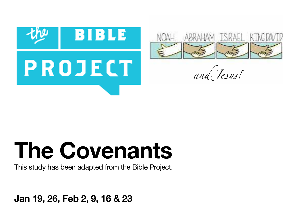



*and J*es*us!* 

# **The Covenants**

This study has been adapted from the Bible Project.

**Jan 19, 26, Feb 2, 9, 16 & 23**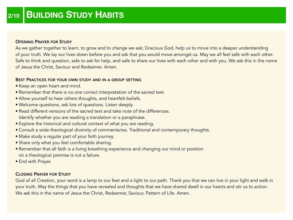### OPENING PRAYER FOR STUDY

As we gather together to learn, to grow and to change we ask; Gracious God, help us to move into a deeper understanding of your truth. We lay our lives down before you and ask that you would move amongst us. May we all feel safe with each other. Safe to think and question, safe to ask for help, and safe to share our lives with each other and with you. We ask this in the name of Jesus the Christ, Saviour and Redeemer. Amen.

## BEST PRACTICES FOR YOUR OWN STUDY AND IN A GROUP SETTING

- Keep an open heart and mind.
- Remember that there is no one correct interpretation of the sacred text.
- Allow yourself to hear others thoughts, and heartfelt beliefs.
- Welcome questions, ask lots of questions. Listen deeply.
- Read different versions of the sacred text and take note of the differences. Identify whether you are reading a translation or a paraphrase.
- Explore the historical and cultural context of what you are reading.
- Consult a wide theological diversity of commentaries. Traditional and contemporary thoughts.
- Make study a regular part of your faith journey.
- Share only what you feel comfortable sharing.
- Remember that all faith is a living breathing experience and changing our mind or position on a theological premise is not a failure.
- End with Prayer.

## CLOSING PRAYER FOR STUDY

God of all Creation, your word is a lamp to our feet and a light to our path. Thank you that we can live in your light and walk in your truth. May the things that you have revealed and thoughts that we have shared dwell in our hearts and stir us to action. We ask this in the name of Jesus the Christ, Redeemer, Saviour, Pattern of Life. Amen.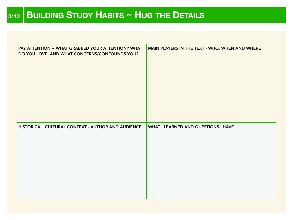| PAY ATTENTION ~ WHAT GRABBED YOUR ATTENTION? WHAT<br>DO YOU LOVE AND WHAT CONCERNS/CONFOUNDS YOU? | MAIN PLAYERS IN THE TEXT - WHO, WHEN AND WHERE |
|---------------------------------------------------------------------------------------------------|------------------------------------------------|
| HISTORICAL, CULTURAL CONTEXT - AUTHOR AND AUDIENCE                                                | <b>WHAT I LEARNED AND QUESTIONS I HAVE</b>     |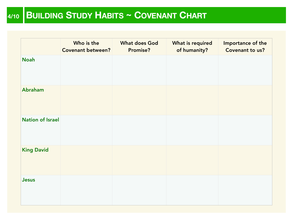# **4/10 BUILDING STUDY HABITS ~ COVENANT CHART**

|                         | Who is the<br><b>Covenant between?</b> | <b>What does God</b><br><b>Promise?</b> | What is required<br>of humanity? | Importance of the<br>Covenant to us? |
|-------------------------|----------------------------------------|-----------------------------------------|----------------------------------|--------------------------------------|
| <b>Noah</b>             |                                        |                                         |                                  |                                      |
| Abraham                 |                                        |                                         |                                  |                                      |
| <b>Nation of Israel</b> |                                        |                                         |                                  |                                      |
| <b>King David</b>       |                                        |                                         |                                  |                                      |
| Jesus                   |                                        |                                         |                                  |                                      |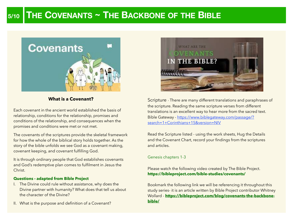# **5/10 THE COVENANTS ~ THE BACKBONE OF THE BIBLE**



## **What is a Covenant?**

Each covenant in the ancient world established the basis of relationship, conditions for the relationship, promises and conditions of the relationship, and consequences when the promises and conditions were met or not met.

The covenants of the scriptures provide the skeletal framework for how the whole of the biblical story holds together. As the story of the bible unfolds we see God as a covenant making, covenant keeping, and covenant fulfilling God.

It is through ordinary people that God establishes covenants and God's redemptive plan comes to fulfilment in Jesus the Christ.

#### **Questions - adapted from Bible Project**

- I. The Divine could rule without assistance, why does the Divine partner with humanity? What does that tell us about the character of the Divine?
- II. What is the purpose and definition of a Covenant?



Scripture - There are many different translations and paraphrases of the scripture. Reading the same scripture verses from different translations is an excellent way to hear more from the sacred text. [Bible Gateway - https://www.biblegateway.com/passage/?](https://www.biblegateway.com/passage/?search=1+Corinthians+15&version=NIV) [search=1+Corinthians+15&version=NIV](https://www.biblegateway.com/passage/?search=1+Corinthians+15&version=NIV)

Read the Scripture listed - using the work sheets, Hug the Details and the Covenant Chart, record your findings from the scriptures and articles.

#### Genesis chapters 1-3

Please watch the following video created by The Bible Project. **https://bibleproject.com/bible-studies/covenants/**

Bookmark the following link we will be referencing it throughout this study series- it is an article written by Bible Project contributor Whitney Wollard - **[https://bibleproject.com/blog/covenants-the-backbone](https://bibleproject.com/blog/covenants-the-backbone-bible/)[bible/](https://bibleproject.com/blog/covenants-the-backbone-bible/)**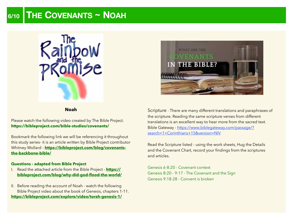# **6/10 THE COVENANTS ~ NOAH**



#### **Noah**

Please watch the following video created by The Bible Project. **https://bibleproject.com/bible-studies/covenants/**

Bookmark the following link we will be referencing it throughout this study series- it is an article written by Bible Project contributor Whitney Wollard - **[https://bibleproject.com/blog/covenants](https://bibleproject.com/blog/covenants-the-backbone-bible/)[the-backbone-bible/](https://bibleproject.com/blog/covenants-the-backbone-bible/)**

#### **Questions - adapted from Bible Project**

- I. Read the attached article from the Bible Project **[https://](https://bibleproject.com/blog/why-did-god-flood-the-world/) [bibleproject.com/blog/why-did-god-flood-the-world/](https://bibleproject.com/blog/why-did-god-flood-the-world/)**
- II. Before reading the account of Noah watch the following Bible Project video about the book of Genesis, chapters 1-11. **<https://bibleproject.com/explore/video/torah-genesis-1/>**



Scripture - There are many different translations and paraphrases of the scripture. Reading the same scripture verses from different translations is an excellent way to hear more from the sacred text. [Bible Gateway - https://www.biblegateway.com/passage/?](https://www.biblegateway.com/passage/?search=1+Corinthians+15&version=NIV) [search=1+Corinthians+15&version=NIV](https://www.biblegateway.com/passage/?search=1+Corinthians+15&version=NIV)

Read the Scripture listed - using the work sheets, Hug the Details and the Covenant Chart, record your findings from the scriptures and articles.

Genesis 6-8:20 - Covenant context Genesis 8:20 - 9:17 - The Covenant and the Sign Genesis 9:18-28 - Convent is broken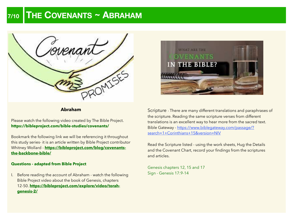# **7/10 THE COVENANTS ~ ABRAHAM**



## **Abraham**

Please watch the following video created by The Bible Project. **https://bibleproject.com/bible-studies/covenants/**

Bookmark the following link we will be referencing it throughout this study series- it is an article written by Bible Project contributor Whitney Wollard - **[https://bibleproject.com/blog/covenants](https://bibleproject.com/blog/covenants-the-backbone-bible/)[the-backbone-bible/](https://bibleproject.com/blog/covenants-the-backbone-bible/)**

#### **Questions - adapted from Bible Project**

I. Before reading the account of Abraham - watch the following Bible Project video about the book of Genesis, chapters 12-50. **[https://bibleproject.com/explore/video/torah](https://bibleproject.com/explore/video/torah-genesis-2/)[genesis-2/](https://bibleproject.com/explore/video/torah-genesis-2/)**



Scripture - There are many different translations and paraphrases of the scripture. Reading the same scripture verses from different translations is an excellent way to hear more from the sacred text. [Bible Gateway - https://www.biblegateway.com/passage/?](https://www.biblegateway.com/passage/?search=1+Corinthians+15&version=NIV) [search=1+Corinthians+15&version=NIV](https://www.biblegateway.com/passage/?search=1+Corinthians+15&version=NIV)

Read the Scripture listed - using the work sheets, Hug the Details and the Covenant Chart, record your findings from the scriptures and articles.

Genesis chapters 12, 15 and 17 Sign - Genesis 17:9-14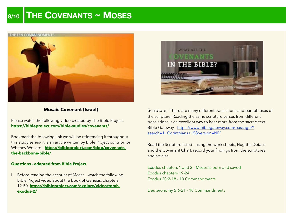# **8/10 THE COVENANTS ~ MOSES**



## **Mosaic Covenant (Israel)**

Please watch the following video created by The Bible Project. **https://bibleproject.com/bible-studies/covenants/**

Bookmark the following link we will be referencing it throughout this study series- it is an article written by Bible Project contributor Whitney Wollard - **[https://bibleproject.com/blog/covenants](https://bibleproject.com/blog/covenants-the-backbone-bible/)[the-backbone-bible/](https://bibleproject.com/blog/covenants-the-backbone-bible/)**

#### **Questions - adapted from Bible Project**

I. Before reading the account of Moses - watch the following Bible Project video about the book of Genesis, chapters 12-50. **[https://bibleproject.com/explore/video/torah](https://bibleproject.com/explore/video/torah-exodus-2/)[exodus-2/](https://bibleproject.com/explore/video/torah-exodus-2/)**



Scripture - There are many different translations and paraphrases of the scripture. Reading the same scripture verses from different translations is an excellent way to hear more from the sacred text. [Bible Gateway - https://www.biblegateway.com/passage/?](https://www.biblegateway.com/passage/?search=1+Corinthians+15&version=NIV) [search=1+Corinthians+15&version=NIV](https://www.biblegateway.com/passage/?search=1+Corinthians+15&version=NIV)

Read the Scripture listed - using the work sheets, Hug the Details and the Covenant Chart, record your findings from the scriptures and articles.

Exodus chapters 1 and 2 - Moses is born and saved Exodus chapters 19-24 Exodus 20:2-18 - 10 Commandments

Deuteronomy 5:6-21 - 10 Commandments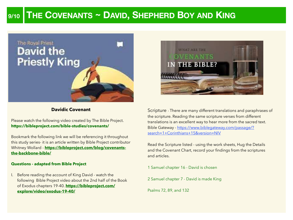# **9/10 THE COVENANTS ~ DAVID, SHEPHERD BOY AND KING**



## **Davidic Covenant**

Please watch the following video created by The Bible Project. **https://bibleproject.com/bible-studies/covenants/**

Bookmark the following link we will be referencing it throughout this study series- it is an article written by Bible Project contributor Whitney Wollard - **[https://bibleproject.com/blog/covenants](https://bibleproject.com/blog/covenants-the-backbone-bible/)[the-backbone-bible/](https://bibleproject.com/blog/covenants-the-backbone-bible/)**

#### **Questions - adapted from Bible Project**

I. Before reading the account of King David - watch the following Bible Project video about the 2nd half of the Book of Exodus chapters 19-40. **[https://bibleproject.com/](https://bibleproject.com/explore/video/exodus-19-40/) [explore/video/exodus-19-40/](https://bibleproject.com/explore/video/exodus-19-40/)**



Scripture - There are many different translations and paraphrases of the scripture. Reading the same scripture verses from different translations is an excellent way to hear more from the sacred text. [Bible Gateway - https://www.biblegateway.com/passage/?](https://www.biblegateway.com/passage/?search=1+Corinthians+15&version=NIV) [search=1+Corinthians+15&version=NIV](https://www.biblegateway.com/passage/?search=1+Corinthians+15&version=NIV)

Read the Scripture listed - using the work sheets, Hug the Details and the Covenant Chart, record your findings from the scriptures and articles.

1 Samuel chapter 16 - David is chosen

2 Samuel chapter 7 - David is made King

Psalms 72, 89, and 132